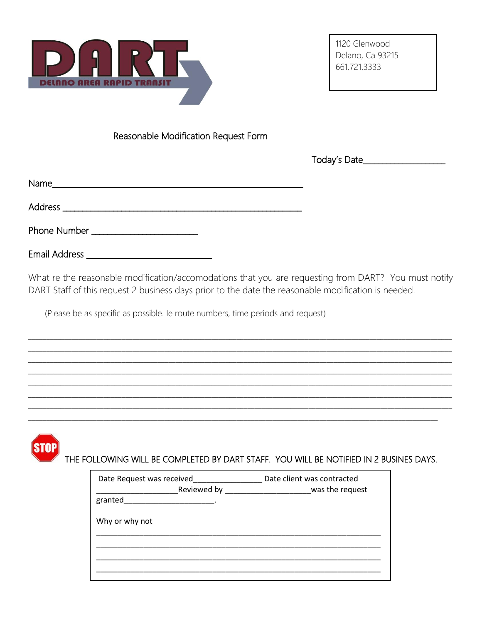

Reasonable Modification Request Form

Today's Date\_\_\_\_\_\_\_\_\_\_\_\_\_\_\_\_\_\_\_\_

|--|

Phone Number \_\_\_\_\_\_\_\_\_\_\_\_\_\_\_\_\_\_\_\_\_\_\_

What re the reasonable modification/accomodations that you are requesting from DART? You must notify DART Staff of this request 2 business days prior to the date the reasonable modification is needed.

(Please be as specific as possible. le route numbers, time periods and request)

| THE FOLLOWING WILL BE COMPLETED BY DART STAFF. YOU WILL BE NOTIFIED IN 2 BUSINES DAYS.                                                                               |  |
|----------------------------------------------------------------------------------------------------------------------------------------------------------------------|--|
| Date Request was received____________________ Date client was contracted<br>Reviewed by ________________________________was the request<br>granted<br>Why or why not |  |